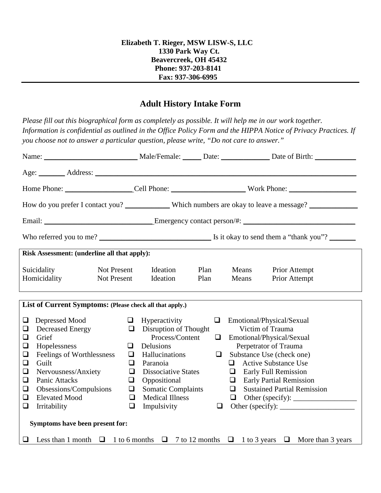## **Adult History Intake Form**

*Please fill out this biographical form as completely as possible. It will help me in our work together. Information is confidential as outlined in the Office Policy Form and the HIPPA Notice of Privacy Practices. If you choose not to answer a particular question, please write, "Do not care to answer."*

| Age: <u>Address:</u>                                                                                                                                                                                                                                                                                                        |                                                                              |                                                                                                                                                                                                                                        |              |             |                                                                                                                                                                                                                                                                                         |                                       |  |
|-----------------------------------------------------------------------------------------------------------------------------------------------------------------------------------------------------------------------------------------------------------------------------------------------------------------------------|------------------------------------------------------------------------------|----------------------------------------------------------------------------------------------------------------------------------------------------------------------------------------------------------------------------------------|--------------|-------------|-----------------------------------------------------------------------------------------------------------------------------------------------------------------------------------------------------------------------------------------------------------------------------------------|---------------------------------------|--|
|                                                                                                                                                                                                                                                                                                                             |                                                                              |                                                                                                                                                                                                                                        |              |             |                                                                                                                                                                                                                                                                                         |                                       |  |
|                                                                                                                                                                                                                                                                                                                             |                                                                              |                                                                                                                                                                                                                                        |              |             |                                                                                                                                                                                                                                                                                         |                                       |  |
|                                                                                                                                                                                                                                                                                                                             |                                                                              |                                                                                                                                                                                                                                        |              |             |                                                                                                                                                                                                                                                                                         |                                       |  |
|                                                                                                                                                                                                                                                                                                                             |                                                                              |                                                                                                                                                                                                                                        |              |             |                                                                                                                                                                                                                                                                                         |                                       |  |
| Risk Assessment: (underline all that apply):                                                                                                                                                                                                                                                                                |                                                                              |                                                                                                                                                                                                                                        |              |             |                                                                                                                                                                                                                                                                                         |                                       |  |
| Suicidality<br>Homicidality                                                                                                                                                                                                                                                                                                 | Not Present<br>Not Present                                                   | Ideation<br>Ideation                                                                                                                                                                                                                   | Plan<br>Plan |             | Means<br>Means                                                                                                                                                                                                                                                                          | <b>Prior Attempt</b><br>Prior Attempt |  |
| List of Current Symptoms: (Please check all that apply.)                                                                                                                                                                                                                                                                    |                                                                              |                                                                                                                                                                                                                                        |              |             |                                                                                                                                                                                                                                                                                         |                                       |  |
| $\Box$<br>Depressed Mood<br><b>Decreased Energy</b><br>$\Box$<br>Grief<br>$\Box$<br>Hopelessness<br>$\Box$<br>Feelings of Worthlessness<br>❏<br>$\Box$<br>Guilt<br>Nervousness/Anxiety<br>$\Box$<br>$\Box$<br>Panic Attacks<br>Obsessions/Compulsions<br>$\Box$<br><b>Elevated Mood</b><br>$\Box$<br>Irritability<br>$\Box$ | $\Box$<br>$\Box$<br>$\Box$<br>$\Box$<br>$\Box$<br>$\Box$<br>$\Box$<br>$\Box$ | $\Box$ Hyperactivity<br>$\Box$ Disruption of Thought<br>Process/Content<br>Delusions<br>Hallucinations<br>Paranoia<br><b>Dissociative States</b><br>Oppositional<br><b>Somatic Complaints</b><br><b>Medical Illness</b><br>Impulsivity |              | $\Box$<br>0 | $\Box$ Emotional/Physical/Sexual<br>Victim of Trauma<br>Emotional/Physical/Sexual<br>Perpetrator of Trauma<br>Substance Use (check one)<br><b>Active Substance Use</b><br>$\Box$<br>$\Box$ Early Full Remission<br>$\Box$ Early Partial Remission<br>$\Box$ Sustained Partial Remission |                                       |  |
| Symptoms have been present for:                                                                                                                                                                                                                                                                                             |                                                                              |                                                                                                                                                                                                                                        |              |             |                                                                                                                                                                                                                                                                                         |                                       |  |
| <b><math>\Box</math></b> Less than 1 month $\Box$ 1 to 6 months $\Box$ 7 to 12 months $\Box$ 1 to 3 years $\Box$ More than 3 years                                                                                                                                                                                          |                                                                              |                                                                                                                                                                                                                                        |              |             |                                                                                                                                                                                                                                                                                         |                                       |  |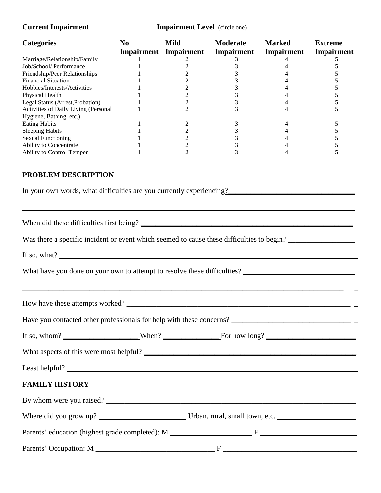| <b>Categories</b>                                                                           | N <sub>0</sub> | <b>Mild</b><br><b>Impairment</b> Impairment | <b>Moderate</b><br>Impairment | <b>Marked</b><br>Impairment | <b>Extreme</b><br><b>Impairment</b> |  |
|---------------------------------------------------------------------------------------------|----------------|---------------------------------------------|-------------------------------|-----------------------------|-------------------------------------|--|
| Marriage/Relationship/Family                                                                | 1              | 2                                           | 3                             | 4                           | 5                                   |  |
| Job/School/ Performance                                                                     | 1              | $\overline{c}$                              | $\mathfrak{Z}$                | 4                           | 5                                   |  |
| Friendship/Peer Relationships<br><b>Financial Situation</b>                                 |                | $\mathbf{2}$<br>$\overline{c}$              | 3<br>3                        | 4<br>4                      | 5<br>5                              |  |
| Hobbies/Interests/Activities                                                                |                | $\overline{c}$                              | 3                             | 4                           | 5                                   |  |
| Physical Health                                                                             |                | $\overline{c}$                              | 3                             | 4                           | 5                                   |  |
| Legal Status (Arrest, Probation)                                                            |                | $\mathbf{2}$                                | 3                             | 4                           | 5                                   |  |
| Activities of Daily Living (Personal                                                        |                | $\overline{2}$                              | 3                             | 4                           | 5                                   |  |
| Hygiene, Bathing, etc.)                                                                     |                |                                             |                               |                             |                                     |  |
| <b>Eating Habits</b>                                                                        |                | 2                                           | 3                             | 4                           | 5                                   |  |
| <b>Sleeping Habits</b><br><b>Sexual Functioning</b>                                         |                | $\overline{c}$<br>$\overline{2}$            | 3<br>3                        | 4<br>4                      | 5<br>5                              |  |
| Ability to Concentrate                                                                      |                | $\sqrt{2}$                                  | 3                             | 4                           | 5                                   |  |
| Ability to Control Temper                                                                   |                | $\overline{2}$                              | 3                             | 4                           | 5                                   |  |
| PROBLEM DESCRIPTION<br>In your own words, what difficulties are you currently experiencing? |                |                                             |                               |                             |                                     |  |
| Was there a specific incident or event which seemed to cause these difficulties to begin?   |                |                                             |                               |                             |                                     |  |
| If so, what? $\qquad \qquad$                                                                |                |                                             |                               |                             |                                     |  |
|                                                                                             |                |                                             |                               |                             |                                     |  |
| How have these attempts worked?                                                             |                |                                             |                               |                             |                                     |  |
|                                                                                             |                |                                             |                               |                             |                                     |  |
|                                                                                             |                |                                             |                               |                             |                                     |  |
|                                                                                             |                |                                             |                               |                             |                                     |  |
| Least helpful?                                                                              |                |                                             |                               |                             |                                     |  |
| <b>FAMILY HISTORY</b>                                                                       |                |                                             |                               |                             |                                     |  |
| By whom were you raised?                                                                    |                |                                             |                               |                             |                                     |  |
|                                                                                             |                |                                             |                               |                             |                                     |  |
|                                                                                             |                |                                             |                               |                             |                                     |  |
|                                                                                             |                |                                             |                               |                             |                                     |  |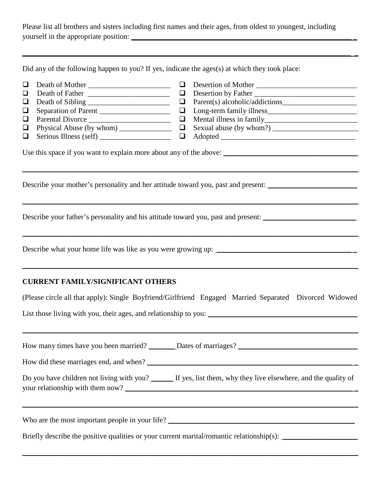Please list all brothers and sisters including first names and their ages, from oldest to youngest, including yourself in the appropriate position: \_\_\_\_\_\_\_\_\_\_\_\_\_\_\_\_\_\_\_\_\_\_\_\_\_\_\_\_\_\_\_\_\_\_\_\_\_\_\_\_\_\_\_\_\_\_\_\_\_\_\_\_\_\_\_\_\_\_\_ \_

 $\mathcal{L}_\mathcal{L} = \{ \mathcal{L}_\mathcal{L} = \{ \mathcal{L}_\mathcal{L} = \{ \mathcal{L}_\mathcal{L} = \{ \mathcal{L}_\mathcal{L} = \{ \mathcal{L}_\mathcal{L} = \{ \mathcal{L}_\mathcal{L} = \{ \mathcal{L}_\mathcal{L} = \{ \mathcal{L}_\mathcal{L} = \{ \mathcal{L}_\mathcal{L} = \{ \mathcal{L}_\mathcal{L} = \{ \mathcal{L}_\mathcal{L} = \{ \mathcal{L}_\mathcal{L} = \{ \mathcal{L}_\mathcal{L} = \{ \mathcal{L}_\mathcal{$ 

Did any of the following happen to you? If yes, indicate the ages(s) at which they took place:

| $\Box$<br>Death of Mother<br>$\Box$<br>❏<br>$\Box$<br>Separation of Parent<br>Parental Divorce<br>❏<br>$\Box$<br>$\Box$ | $\Box$<br>Desertion of Mother<br>Desertion by Father<br>$\Box$<br>$\Box$<br>$\Box$<br>$\Box$<br>Physical Abuse (by whom) $\Box$ Sexual abuse (by whom?) $\Box$ |  |  |  |  |
|-------------------------------------------------------------------------------------------------------------------------|----------------------------------------------------------------------------------------------------------------------------------------------------------------|--|--|--|--|
|                                                                                                                         |                                                                                                                                                                |  |  |  |  |
|                                                                                                                         | Describe your mother's personality and her attitude toward you, past and present:                                                                              |  |  |  |  |
|                                                                                                                         | Describe your father's personality and his attitude toward you, past and present:                                                                              |  |  |  |  |
|                                                                                                                         |                                                                                                                                                                |  |  |  |  |
| <b>CURRENT FAMILY/SIGNIFICANT OTHERS</b>                                                                                |                                                                                                                                                                |  |  |  |  |
|                                                                                                                         | (Please circle all that apply): Single Boyfriend/Girlfriend Engaged Married Separated Divorced Widowed                                                         |  |  |  |  |
|                                                                                                                         |                                                                                                                                                                |  |  |  |  |
|                                                                                                                         | How many times have you been married? _______ Dates of marriages? __________________________________                                                           |  |  |  |  |
|                                                                                                                         |                                                                                                                                                                |  |  |  |  |
| Do you have children not living with you? ______ If yes, list them, why they live elsewhere, and the quality of         |                                                                                                                                                                |  |  |  |  |
|                                                                                                                         | ,我们也不会有什么。""我们的人,我们也不会有什么?""我们的人,我们也不会有什么?""我们的人,我们也不会有什么?""我们的人,我们也不会有什么?""我们的人                                                                               |  |  |  |  |
|                                                                                                                         | Briefly describe the positive qualities or your current marital/romantic relationship(s):                                                                      |  |  |  |  |

 $\_$  , and the contribution of the contribution of the contribution of the contribution of the contribution of  $\mathcal{L}_\text{max}$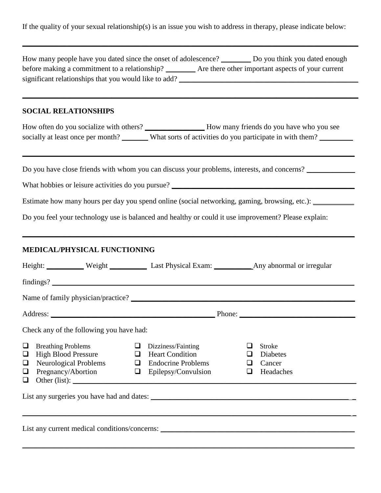If the quality of your sexual relationship(s) is an issue you wish to address in therapy, please indicate below:

| How many people have you dated since the onset of adolescence? __________ Do you think you dated enough<br>before making a commitment to a relationship? _________ Are there other important aspects of your current          |  |
|-------------------------------------------------------------------------------------------------------------------------------------------------------------------------------------------------------------------------------|--|
|                                                                                                                                                                                                                               |  |
| <b>SOCIAL RELATIONSHIPS</b>                                                                                                                                                                                                   |  |
| socially at least once per month? _______ What sorts of activities do you participate in with them? _______                                                                                                                   |  |
| Do you have close friends with whom you can discuss your problems, interests, and concerns?                                                                                                                                   |  |
|                                                                                                                                                                                                                               |  |
| Estimate how many hours per day you spend online (social networking, gaming, browsing, etc.): ___________                                                                                                                     |  |
| Do you feel your technology use is balanced and healthy or could it use improvement? Please explain:<br><u> 1989 - Johann Harry Harry Harry Harry Harry Harry Harry Harry Harry Harry Harry Harry Harry Harry Harry Harry</u> |  |
| MEDICAL/PHYSICAL FUNCTIONING                                                                                                                                                                                                  |  |
| Height: Weight Weight Last Physical Exam: Any abnormal or irregular                                                                                                                                                           |  |
|                                                                                                                                                                                                                               |  |
|                                                                                                                                                                                                                               |  |
|                                                                                                                                                                                                                               |  |
|                                                                                                                                                                                                                               |  |
| Check any of the following you have had:                                                                                                                                                                                      |  |
| $\Box$<br><b>Breathing Problems</b><br>$\Box$<br>Dizziness/Fainting<br>□<br><b>Stroke</b><br><b>High Blood Pressure</b><br><b>Heart Condition</b><br>Diabetes<br>$\Box$<br>$\Box$<br>ப                                        |  |
| Neurological Problems $\Box$ Endocrine Problems<br>Cancer<br>$\Box$<br>$\Box$                                                                                                                                                 |  |
| Pregnancy/Abortion<br>$\Box$ Epilepsy/Convulsion<br>Headaches<br>$\Box$<br>❏<br>❏                                                                                                                                             |  |
| List any surgeries you have had and dates:                                                                                                                                                                                    |  |
|                                                                                                                                                                                                                               |  |
| List any current medical conditions/concerns: ___________________________________                                                                                                                                             |  |

 $\_$  , and the set of the set of the set of the set of the set of the set of the set of the set of the set of the set of the set of the set of the set of the set of the set of the set of the set of the set of the set of th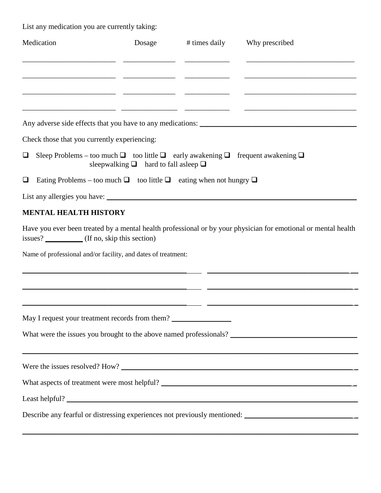List any medication you are currently taking:

| Medication                                                                                                    | Dosage                                         | # times daily | Why prescribed                                                                                                        |
|---------------------------------------------------------------------------------------------------------------|------------------------------------------------|---------------|-----------------------------------------------------------------------------------------------------------------------|
|                                                                                                               |                                                |               |                                                                                                                       |
|                                                                                                               |                                                |               | <u> 1989 - Jan James James Barbara, martxa alemaniar poeta estas política de la provincia de la provincia de la p</u> |
|                                                                                                               |                                                |               |                                                                                                                       |
|                                                                                                               |                                                |               |                                                                                                                       |
| Check those that you currently experiencing:                                                                  |                                                |               |                                                                                                                       |
| Sleep Problems – too much $\Box$ too little $\Box$ early awakening $\Box$ frequent awakening $\Box$<br>$\Box$ | sleepwalking $\Box$ hard to fall asleep $\Box$ |               |                                                                                                                       |
| Eating Problems – too much $\Box$ too little $\Box$ eating when not hungry $\Box$<br>❏                        |                                                |               |                                                                                                                       |
|                                                                                                               |                                                |               |                                                                                                                       |
| <b>MENTAL HEALTH HISTORY</b>                                                                                  |                                                |               |                                                                                                                       |
| issues? ____________ (If no, skip this section)                                                               |                                                |               | Have you ever been treated by a mental health professional or by your physician for emotional or mental health        |
| Name of professional and/or facility, and dates of treatment:                                                 |                                                |               |                                                                                                                       |
|                                                                                                               |                                                |               |                                                                                                                       |
|                                                                                                               |                                                |               |                                                                                                                       |
| May I request your treatment records from them? ________________________________                              |                                                |               |                                                                                                                       |
|                                                                                                               |                                                |               |                                                                                                                       |
|                                                                                                               |                                                |               |                                                                                                                       |
|                                                                                                               |                                                |               |                                                                                                                       |
|                                                                                                               |                                                |               |                                                                                                                       |
|                                                                                                               |                                                |               | Describe any fearful or distressing experiences not previously mentioned: __________________________                  |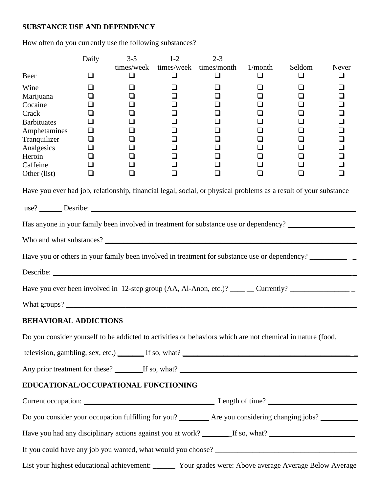## **SUBSTANCE USE AND DEPENDENCY**

How often do you currently use the following substances?

|                                                                                                                  | Daily                      | $3 - 5$               | $1-2$                      | $2 - 3$                          |                            |             |            |
|------------------------------------------------------------------------------------------------------------------|----------------------------|-----------------------|----------------------------|----------------------------------|----------------------------|-------------|------------|
| Beer                                                                                                             | ◻                          | times/week<br>$\Box$  | $\Box$                     | times/week times/month<br>$\Box$ | 1/month<br>❏               | Seldom<br>❏ | Never<br>❏ |
| Wine<br>Marijuana<br>Cocaine                                                                                     | ப<br>❏                     |                       | ❏<br>❏<br>❏                | ❏<br>❏<br>$\Box$                 | ❏<br>❏<br>❏                | ⊔<br>ப<br>ப | ப          |
| Crack<br><b>Barbituates</b><br>Amphetamines                                                                      | ❏<br>❏<br>❏                |                       | ❏<br>❏<br>❏                | $\Box$<br>$\Box$<br>$\Box$       | ❏<br>❏<br>❏                | ❏           |            |
| Tranquilizer<br>Analgesics                                                                                       | $\Box$<br>$\Box$           |                       | ❏<br>❏                     | $\Box$<br>❏                      | ❏<br>❏                     |             |            |
| Heroin<br>Caffeine<br>Other (list)                                                                               | $\Box$<br>$\Box$<br>$\Box$ | $\Box$<br>$\Box$<br>❏ | $\Box$<br>$\Box$<br>$\Box$ | $\Box$<br>$\Box$<br>$\Box$       | $\Box$<br>$\Box$<br>$\Box$ | ப<br>❏<br>❏ | ப<br>❏     |
| Have you ever had job, relationship, financial legal, social, or physical problems as a result of your substance |                            |                       |                            |                                  |                            |             |            |
|                                                                                                                  |                            |                       |                            |                                  |                            |             |            |
| Has anyone in your family been involved in treatment for substance use or dependency? ______________             |                            |                       |                            |                                  |                            |             |            |
|                                                                                                                  |                            |                       |                            |                                  |                            |             |            |
| Have you or others in your family been involved in treatment for substance use or dependency?                    |                            |                       |                            |                                  |                            |             |            |
|                                                                                                                  |                            |                       |                            |                                  |                            |             |            |
|                                                                                                                  |                            |                       |                            |                                  |                            |             |            |
|                                                                                                                  |                            |                       |                            |                                  |                            |             |            |
| <b>BEHAVIORAL ADDICTIONS</b>                                                                                     |                            |                       |                            |                                  |                            |             |            |
| Do you consider yourself to be addicted to activities or behaviors which are not chemical in nature (food,       |                            |                       |                            |                                  |                            |             |            |
|                                                                                                                  |                            |                       |                            |                                  |                            |             |            |
|                                                                                                                  |                            |                       |                            |                                  |                            |             |            |
| EDUCATIONAL/OCCUPATIONAL FUNCTIONING                                                                             |                            |                       |                            |                                  |                            |             |            |
|                                                                                                                  |                            |                       |                            |                                  |                            |             |            |
| Do you consider your occupation fulfilling for you? ________ Are you considering changing jobs? _________        |                            |                       |                            |                                  |                            |             |            |
| Have you had any disciplinary actions against you at work? ________If so, what? ______________________________   |                            |                       |                            |                                  |                            |             |            |
|                                                                                                                  |                            |                       |                            |                                  |                            |             |            |
| List your highest educational achievement: ______ Your grades were: Above average Average Below Average          |                            |                       |                            |                                  |                            |             |            |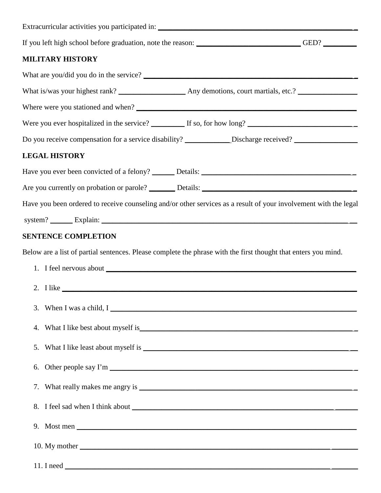| If you left high school before graduation, note the reason: __________________________GED? _________                                                                                                                                                                                                                             |  |
|----------------------------------------------------------------------------------------------------------------------------------------------------------------------------------------------------------------------------------------------------------------------------------------------------------------------------------|--|
| <b>MILITARY HISTORY</b>                                                                                                                                                                                                                                                                                                          |  |
|                                                                                                                                                                                                                                                                                                                                  |  |
|                                                                                                                                                                                                                                                                                                                                  |  |
|                                                                                                                                                                                                                                                                                                                                  |  |
|                                                                                                                                                                                                                                                                                                                                  |  |
| Do you receive compensation for a service disability? ____________Discharge received? ______________                                                                                                                                                                                                                             |  |
| <b>LEGAL HISTORY</b>                                                                                                                                                                                                                                                                                                             |  |
|                                                                                                                                                                                                                                                                                                                                  |  |
|                                                                                                                                                                                                                                                                                                                                  |  |
| Have you been ordered to receive counseling and/or other services as a result of your involvement with the legal                                                                                                                                                                                                                 |  |
|                                                                                                                                                                                                                                                                                                                                  |  |
| <b>SENTENCE COMPLETION</b>                                                                                                                                                                                                                                                                                                       |  |
| Below are a list of partial sentences. Please complete the phrase with the first thought that enters you mind.                                                                                                                                                                                                                   |  |
|                                                                                                                                                                                                                                                                                                                                  |  |
|                                                                                                                                                                                                                                                                                                                                  |  |
| 3. When I was a child, $I_{\text{max}}$ and $I_{\text{max}}$ and $I_{\text{max}}$ are $I_{\text{max}}$ and $I_{\text{max}}$ are $I_{\text{max}}$ and $I_{\text{max}}$ are $I_{\text{max}}$ and $I_{\text{max}}$ are $I_{\text{max}}$ and $I_{\text{max}}$ are $I_{\text{max}}$ and $I_{\text{max}}$ are $I_{\text{max}}$ and $I$ |  |
| 4. What I like best about myself is example and the same state of the state of the state of the state of the state of the state of the state of the state of the state of the state of the state of the state of the state of                                                                                                    |  |
| 5.                                                                                                                                                                                                                                                                                                                               |  |
| 6.                                                                                                                                                                                                                                                                                                                               |  |
|                                                                                                                                                                                                                                                                                                                                  |  |
|                                                                                                                                                                                                                                                                                                                                  |  |
|                                                                                                                                                                                                                                                                                                                                  |  |
|                                                                                                                                                                                                                                                                                                                                  |  |
| 11. I need $\overline{\phantom{a}}$                                                                                                                                                                                                                                                                                              |  |